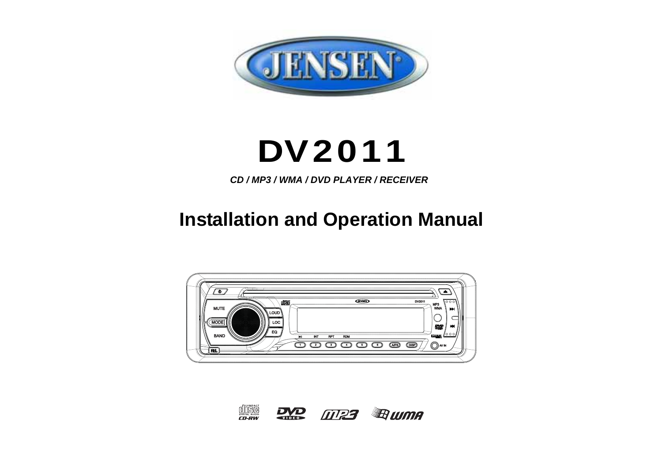

# DV2011

*CD / MP3 / WMA / DVD PLAYER / RECEIVER*

## **Installation and Operation Manual**



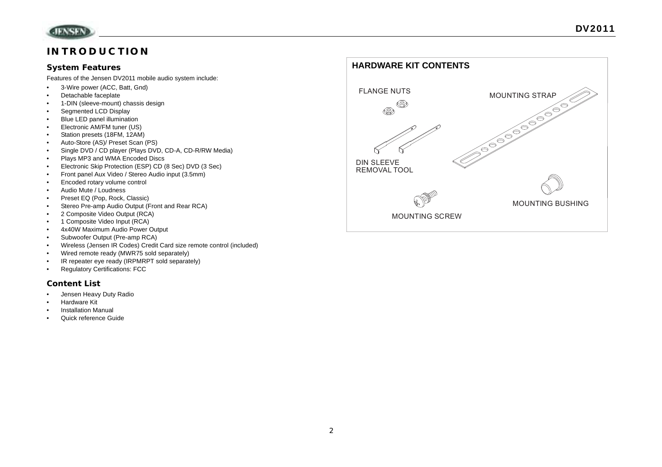

## **INTRODUCTION**

## **System Features**

**CIENSEN** 

Features of the Jensen DV2011 mobile audio system include:

- •3-Wire power (ACC, Batt, Gnd)
- •Detachable faceplate
- •1-DIN (sleeve-mount) chassis design
- •Segmented LCD Display
- •Blue LED panel illumination
- •Electronic AM/FM tuner (US)
- •Station presets (18FM, 12AM)
- •Auto-Store (AS)/ Preset Scan (PS)
- •Single DVD / CD player (Plays DVD, CD-A, CD-R/RW Media)
- •Plays MP3 and WMA Encoded Discs
- •Electronic Skip Protection (ESP) CD (8 Sec) DVD (3 Sec)
- •Front panel Aux Video / Stereo Audio input (3.5mm)
- •Encoded rotary volume control
- •Audio Mute / Loudness
- Preset EQ (Pop, Rock, Classic) •
- •Stereo Pre-amp Audio Output (Front and Rear RCA)
- •2 Composite Video Output (RCA)
- •1 Composite Video Input (RCA)
- •4x40W Maximum Audio Power Output
- •Subwoofer Output (Pre-amp RCA)
- •Wireless (Jensen IR Codes) Credit Card size remote control (included)
- •Wired remote ready (MWR75 sold separately)
- •IR repeater eye ready (IRPMRPT sold separately)
- •Regulatory Certifications: FCC

## **Content List**

- Jensen Heavy Duty Radio
- •Hardware Kit
- Installation Manual
- Quick reference Guide•

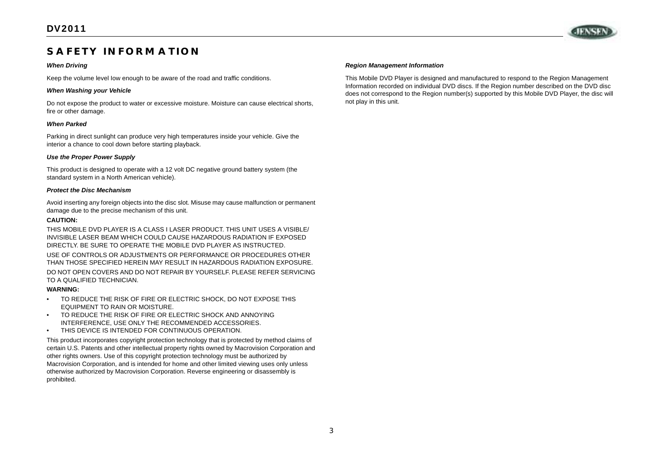

## **SAFETY INFORMATION**

#### *When Driving*

Keep the volume level Iow enough to be aware of the road and traffic conditions.

#### *When Washing your Vehicle*

Do not expose the product to water or excessive moisture. Moisture can cause electrical shorts, fire or other damage.

#### *When Parked*

Parking in direct sunlight can produce very high temperatures inside your vehicle. Give the interior a chance to cool down before starting playback.

#### *Use the Proper Power Supply*

This product is designed to operate with a 12 volt DC negative ground battery system (the standard system in a North American vehicle).

#### *Protect the Disc Mechanism*

Avoid inserting any foreign objects into the disc slot. Misuse may cause malfunction or permanent damage due to the precise mechanism of this unit.

#### **CAUTION:**

THIS MOBILE DVD PLAYER IS A CLASS I LASER PRODUCT. THIS UNIT USES A VISIBLE/INVISIBLE LASER BEAM WHICH COULD CAUSE HAZARDOUS RADIATION IF EXPOSED DIRECTLY. BE SURE TO OPERATE THE MOBILE DVD PLAYER AS INSTRUCTED. USE OF CONTROLS OR ADJUSTMENTS OR PERFORMANCE OR PROCEDURES OTHER THAN THOSE SPECIFIED HEREIN MAY RESULT IN HAZARDOUS RADIATION EXPOSURE.DO NOT OPEN COVERS AND DO NOT REPAIR BY YOURSELF. PLEASE REFER SERVICING TO A QUALIFIED TECHNICIAN.

#### **WARNING:**

- • TO REDUCE THE RISK OF FIRE OR ELECTRIC SHOCK, DO NOT EXPOSE THIS EQUIPMENT TO RAIN OR MOISTURE.
- TO REDUCE THE RISK OF FIRE OR ELECTRIC SHOCK AND ANNOYING INTERFERENCE, USE ONLY THE RECOMMENDED ACCESSORIES.
- •THIS DEVICE IS INTENDED FOR CONTINUOUS OPERATION.

This product incorporates copyright protection technology that is protected by method claims of certain U.S. Patents and other intellectual property rights owned by Macrovision Corporation and other rights owners. Use of this copyright protection technology must be authorized by Macrovision Corporation, and is intended for home and other limited viewing uses only unless otherwise authorized by Macrovision Corporation. Reverse engineering or disassembly is prohibited.

#### *Region Management Information*

This Mobile DVD Player is designed and manufactured to respond to the Region Management Information recorded on individual DVD discs. If the Region number described on the DVD disc does not correspond to the Region number(s) supported by this Mobile DVD Player, the disc will not play in this unit.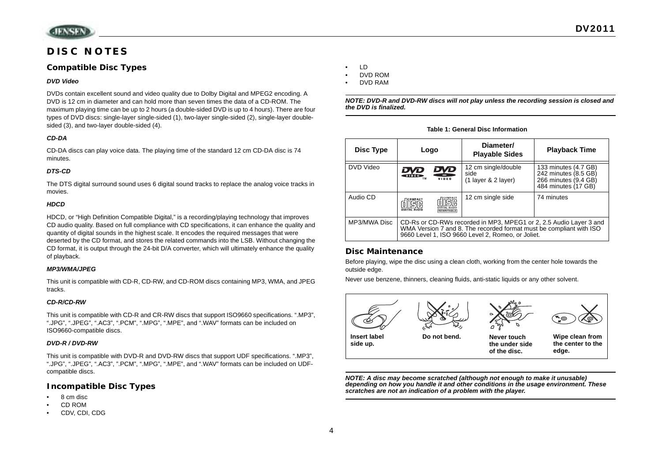

## **DISC NOTES**

## **Compatible Disc Types**

#### *DVD Video*

DVDs contain excellent sound and video quality due to Dolby Digital and MPEG2 encoding. A DVD is 12 cm in diameter and can hold more than seven times the data of a CD-ROM. The maximum playing time can be up to 2 hours (a double-sided DVD is up to 4 hours). There are four types of DVD discs: single-layer single-sided (1), two-layer single-sided (2), single-layer doublesided (3), and two-layer double-sided (4).

#### *CD-DA*

CD-DA discs can play voice data. The playing time of the standard 12 cm CD-DA disc is 74 minutes.

#### *DTS-CD*

The DTS digital surround sound uses 6 digital sound tracks to replace the analog voice tracks in movies.

#### *HDCD*

HDCD, or "High Definition Compatible Digital," is a recording/playing technology that improves CD audio quality. Based on full compliance with CD specifications, it can enhance the quality and quantity of digital sounds in the highest scale. It encodes the required messages that were deserted by the CD format, and stores the related commands into the LSB. Without changing the CD format, it is output through the 24-bit D/A converter, which will ultimately enhance the quality of playback.

#### *MP3/WMA/JPEG*

This unit is compatible with CD-R, CD-RW, and CD-ROM discs containing MP3, WMA, and JPEG tracks.

#### *CD-R/CD-RW*

This unit is compatible with CD-R and CR-RW discs that support ISO9660 specifications. ".MP3", ".JPG", ".JPEG", ".AC3", ".PCM", ".MPG", ".MPE", and ".WAV" formats can be included on ISO9660-compatible discs.

#### *DVD-R / DVD-RW*

This unit is compatible with DVD-R and DVD-RW discs that support UDF specifications. ".MP3", ".JPG", ".JPEG", ".AC3", ".PCM", ".MPG", ".MPE", and ".WAV" formats can be included on UDFcompatible discs.

## **Incompatible Disc Types**

- 8 cm disc
- CD ROM•
- CDV, CDI, CDG
- •LD
- DVD ROM
- DVD RAM

*NOTE: DVD-R and DVD-RW discs will not play unless the recording session is closed and the DVD is finalized.*

|  |  |  |  | <b>Table 1: General Disc Information</b> |
|--|--|--|--|------------------------------------------|
|--|--|--|--|------------------------------------------|

| Disc Type    | Logo                                                                                                                                                                                           | Diameter/<br><b>Playable Sides</b>                 | <b>Playback Time</b>                                                                        |
|--------------|------------------------------------------------------------------------------------------------------------------------------------------------------------------------------------------------|----------------------------------------------------|---------------------------------------------------------------------------------------------|
| DVD Video    | DYD<br>VIDEO                                                                                                                                                                                   | 12 cm single/double<br>side<br>(1 layer & 2 layer) | 133 minutes (4.7 GB)<br>242 minutes (8.5 GB)<br>266 minutes (9.4 GB)<br>484 minutes (17 GB) |
| Audio CD     | TCOMPACT<br><b>COMPACT</b><br><b>REWRITABLE</b>                                                                                                                                                | 12 cm single side                                  | 74 minutes                                                                                  |
| MP3/MWA Disc | CD-Rs or CD-RWs recorded in MP3, MPEG1 or 2, 2.5 Audio Layer 3 and<br>WMA Version 7 and 8. The recorded format must be compliant with ISO<br>9660 Level 1, ISO 9660 Level 2, Romeo, or Joliet. |                                                    |                                                                                             |

### **Disc Maintenance**

Before playing, wipe the disc using a clean cloth, working from the center hole towards the outside edge.

Never use benzene, thinners, cleaning fluids, anti-static liquids or any other solvent.



 **the under sideof the disc.**

**the center to theedge.**

*NOTE: A disc may become scratched (although not enough to make it unusable) depending on how you handle it and other conditions in the usage environment. These scratches are not an indication of a problem with the player.*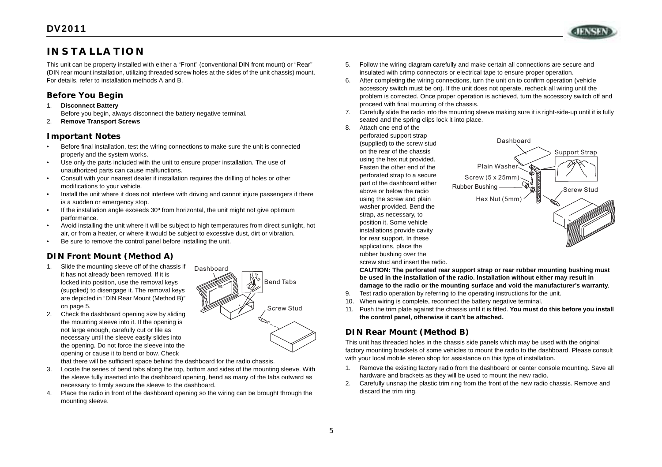

## **INSTALLATION**

This unit can be property installed with either a "Front" (conventional DIN front mount) or "Rear" (DIN rear mount installation, utilizing threaded screw holes at the sides of the unit chassis) mount. For details, refer to installation methods A and B.

## **Before You Begin**

1. **Disconnect Battery**

Before you begin, always disconnect the battery negative terminal.

2. **Remove Transport Screws**

## **Important Notes**

- • Before final installation, test the wiring connections to make sure the unit is connected properly and the system works.
- • Use only the parts included with the unit to ensure proper installation. The use of unauthorized parts can cause malfunctions.
- Consult with your nearest dealer if installation requires the drilling of holes or other modifications to your vehicle.
- Install the unit where it does not interfere with driving and cannot injure passengers if there is a sudden or emergency stop.
- • If the installation angle exceeds 30º from horizontal, the unit might not give optimum performance.
- • Avoid installing the unit where it will be subject to high temperatures from direct sunlight, hot air, or from a heater, or where it would be subject to excessive dust, dirt or vibration.

**182**Dashboard

Bend Tabs

Screw Stud

•Be sure to remove the control panel before installing the unit.

## **DIN Front Mount (Method A)**

- 1. Slide the mounting sleeve off of the chassis if it has not already been removed. If it is locked into position, use the removal keys (supplied) to disengage it. The removal keys are depicted in "DIN Rear Mount (Method B)" on page 5.
- 2. Check the dashboard opening size by sliding the mounting sleeve into it. If the opening is not large enough, carefully cut or file as necessary until the sleeve easily slides into the opening. Do not force the sleeve into the opening or cause it to bend or bow. Check

that there will be sufficient space behind the dashboard for the radio chassis.

- 3. Locate the series of bend tabs along the top, bottom and sides of the mounting sleeve. With the sleeve fully inserted into the dashboard opening, bend as many of the tabs outward as necessary to firmly secure the sleeve to the dashboard.
- 4. Place the radio in front of the dashboard opening so the wiring can be brought through the mounting sleeve.
- 5. Follow the wiring diagram carefully and make certain all connections are secure and insulated with crimp connectors or electrical tape to ensure proper operation.
- 6. After completing the wiring connections, turn the unit on to confirm operation (vehicle accessory switch must be on). If the unit does not operate, recheck all wiring until the problem is corrected. Once proper operation is achieved, turn the accessory switch off and proceed with final mounting of the chassis.
- 7. Carefully slide the radio into the mounting sleeve making sure it is right-side-up until it is fully seated and the spring clips lock it into place.

#### 8. Attach one end of the perforated support strap (supplied) to the screw stud on the rear of the chassis using the hex nut provided. Fasten the other end of the perforated strap to a secure part of the dashboard either above or below the radio using the screw and plain washer provided. Bend the strap, as necessary, to position it. Some vehicle installations provide cavity for rear support. In these applications, place the rubber bushing over the screw stud and insert the radio.



**CAUTION: The perforated rear support strap or rear rubber mounting bushing must be used in the installation of the radio. Installation without either may result in damage to the radio or the mounting surface and void the manufacturer's warranty**.

- 9. Test radio operation by referring to the operating instructions for the unit.
- 10. When wiring is complete, reconnect the battery negative terminal.
- 11. Push the trim plate against the chassis until it is fitted. **You must do this before you install the control panel, otherwise it can't be attached.**

## **DIN Rear Mount (Method B)**

This unit has threaded holes in the chassis side panels which may be used with the original factory mounting brackets of some vehicles to mount the radio to the dashboard. Please consult with your local mobile stereo shop for assistance on this type of installation.

- 1. Remove the existing factory radio from the dashboard or center console mounting. Save all hardware and brackets as they will be used to mount the new radio.
- 2. Carefully unsnap the plastic trim ring from the front of the new radio chassis. Remove and discard the trim ring.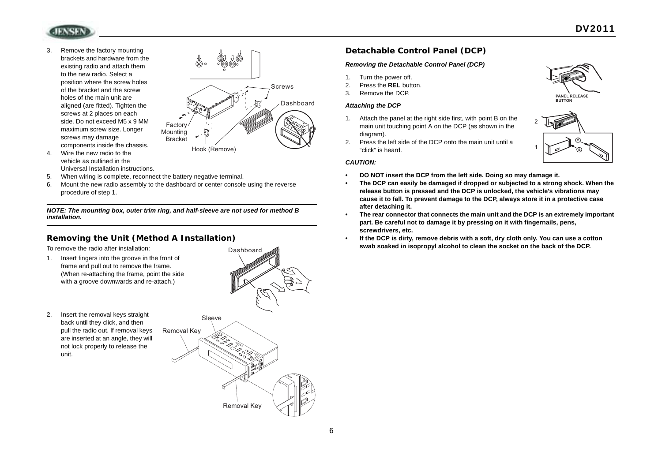

3. Remove the factory mounting brackets and hardware from the existing radio and attach them to the new radio. Select a position where the screw holes of the bracket and the screw holes of the main unit are aligned (are fitted). Tighten the screws at 2 places on each side. Do not exceed M5 x 9 MM maximum screw size. Longer screws may damage components inside the chassis.



- 4. Wire the new radio to the vehicle as outlined in the Universal Installation instructions.
- 5. When wiring is complete, reconnect the battery negative terminal.
- 6. Mount the new radio assembly to the dashboard or center console using the reverse procedure of step 1.

*NOTE: The mounting box, outer trim ring, and half-sleeve are not used for method B installation.*

## **Removing the Unit (Method A Installation)**

To remove the radio after installation:

- 1. Insert fingers into the groove in the front of frame and pull out to remove the frame. (When re-attaching the frame, point the side with a groove downwards and re-attach.)
- 2. Insert the removal keys straight back until they click, and then pull the radio out. If removal keys are inserted at an angle, they will not lock properly to release the unit.Removal Key



Removal Key

## **Detachable Control Panel (DCP)**

#### *Removing the Detachable Control Panel (DCP)*

- 1. Turn the power off.
- 2. Press the **REL** button.
- 3. Remove the DCP.

#### *Attaching the DCP*

- 1. Attach the panel at the right side first, with point B on the main unit touching point A on the DCP (as shown in the diagram).
- 2. Press the left side of the DCP onto the main unit until a "click" is heard.

#### *CAUTION:*

- **DO NOT insert the DCP from the left side. Doing so may damage it.**
- **• The DCP can easily be damaged if dropped or subjected to a strong shock. When the release button is pressed and the DCP is unlocked, the vehicle's vibrations may cause it to fall. To prevent damage to the DCP, always store it in a protective case after detaching it.**
- **• The rear connector that connects the main unit and the DCP is an extremely important part. Be careful not to damage it by pressing on it with fingernails, pens, screwdrivers, etc.**
- **If the DCP is dirty, remove debris with a soft, dry cloth only. You can use a cotton swab soaked in isopropyl alcohol to clean the socket on the back of the DCP.**



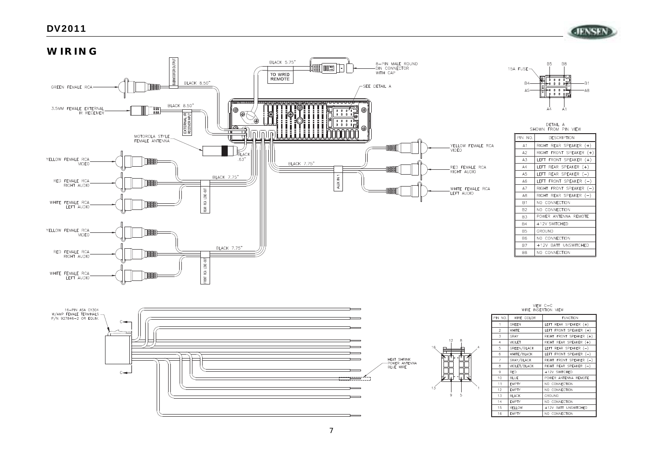







DETAIL A<br>SHOWN FROM PIN VIEW

| PIN NO.   | <b>DESCRIPTION</b>      |
|-----------|-------------------------|
| A1        | RIGHT REAR SPEAKER (+)  |
| A2        | RIGHT FRONT SPEAKER (+) |
| A3        | LEFT FRONT SPEAKER (+)  |
| A4        | LEFT REAR SPEAKER (+)   |
| A5        | LEFT REAR SPEAKER (-)   |
| A6        | LEFT FRONT SPEAKER (-)  |
| A7        | RIGHT FRONT SPEAKER (-) |
| A8        | RIGHT REAR SPEAKER (-)  |
| <b>B1</b> | NO CONNECTION           |
| <b>B2</b> | NO CONNECTION           |
| <b>B3</b> | POWER ANTENNA REMOTE    |
| <b>R4</b> | +12V SWITCHED           |
| <b>B5</b> | GROUND                  |
| <b>R6</b> | NO CONNECTION           |
| <b>B7</b> | +12V BATT UNSWITCHED    |
| B8        | NO CONNECTION           |



VIEW C-C<br>WIRE INSERTION VIEW

| PIN NO.        | WIRE COLOR   | <b>FUNCTION</b>         |
|----------------|--------------|-------------------------|
| 1              | <b>GREEN</b> | LEFT REAR SPEAKER (+)   |
| $\overline{2}$ | <b>WHITE</b> | LEFT FRONT SPEAKER (+)  |
| 3              | GRAY         | RIGHT FRONT SPEAKER (+) |
| 4              | VIOLET       | RIGHT REAR SPEAKER (+)  |
| 5              | GREEN/BLACK  | LEFT REAR SPEAKER (-)   |
| 6              | WHITE/BLACK  | LEFT FRONT SPEAKER (-)  |
| 7              | GRAY/BLACK   | RIGHT FRONT SPEAKER (-) |
| R              | VIOLET/BLACK | RIGHT REAR SPEAKER (-)  |
| $\overline{9}$ | <b>RFD</b>   | +12V SWITCHED           |
| 10             | <b>BLUE</b>  | POWER ANTENNA REMOTE    |
| 11             | <b>FMPTY</b> | NO CONNECTION           |
| 12             | <b>EMPTY</b> | NO CONNECTION           |
| 13             | <b>BLACK</b> | GROUND                  |
| 14             | <b>EMPTY</b> | NO CONNECTION           |
| 15             | YELLOW       | +12V BATT UNSWITCHED    |
| 16             | <b>EMPTY</b> | NO CONNECTION           |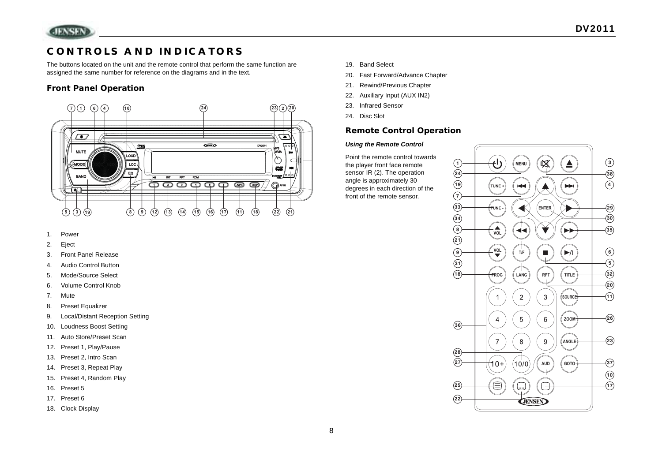

## **CONTROLS AND INDICATORS**

The buttons located on the unit and the remote control that perform the same function are assigned the same number for reference on the diagrams and in the text.

## **Front Panel Operation**



- 1. Power
- 2. Eject
- 3. Front Panel Release
- 4. Audio Control Button
- 5. Mode/Source Select
- 6. Volume Control Knob
- 7. Mute
- 8. Preset Equalizer
- 9. Local/Distant Reception Setting
- 10. Loudness Boost Setting
- 11. Auto Store/Preset Scan
- 12. Preset 1, Play/Pause
- 13. Preset 2, Intro Scan
- 14. Preset 3, Repeat Play
- 15. Preset 4, Random Play
- 16. Preset 5
- 17. Preset 6
- 18. Clock Display
- 19. Band Select
- 20. Fast Forward/Advance Chapter
- 21. Rewind/Previous Chapter
- 22. Auxiliary Input (AUX IN2)
- 23. Infrared Sensor
- 24 Disc Slot

## **Remote Control Operation**

#### *Using the Remote Control*

Point the remote control towards the player front face remote sensor IR (2). The operation angle is approximately 30 degrees in each direction of the front of the remote sensor.

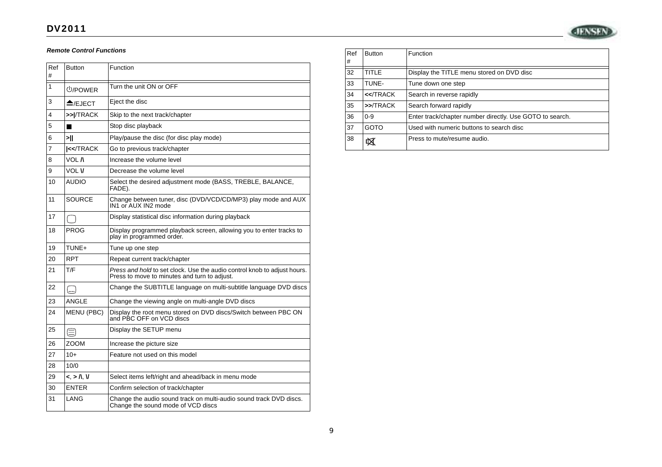

## *Remote Control Functions*

| Ref<br># | <b>Button</b> | Function                                                                                                                 |
|----------|---------------|--------------------------------------------------------------------------------------------------------------------------|
| 1        | O/POWER       | Turn the unit ON or OFF                                                                                                  |
| 3        | E/E.F.CT      | Eject the disc                                                                                                           |
| 4        | >>I/TRACK     | Skip to the next track/chapter                                                                                           |
| 5        | ш             | Stop disc playback                                                                                                       |
| 6        | ᅰ             | Play/pause the disc (for disc play mode)                                                                                 |
| 7        | <b>k</b>      | Go to previous track/chapter                                                                                             |
| 8        | VOL A         | Increase the volume level                                                                                                |
| 9        | <b>VOL V</b>  | Decrease the volume level                                                                                                |
| 10       | <b>AUDIO</b>  | Select the desired adjustment mode (BASS, TREBLE, BALANCE,<br>FADE).                                                     |
| 11       | SOURCE        | Change between tuner, disc (DVD/VCD/CD/MP3) play mode and AUX<br>IN1 or AUX IN2 mode                                     |
| 17       |               | Display statistical disc information during playback                                                                     |
| 18       | PROG          | Display programmed playback screen, allowing you to enter tracks to<br>play in programmed order.                         |
| 19       | TUNE+         | Tune up one step                                                                                                         |
| 20       | <b>RPT</b>    | Repeat current track/chapter                                                                                             |
| 21       | T/F           | Press and hold to set clock. Use the audio control knob to adjust hours.<br>Press to move to minutes and turn to adjust. |
| 22       | ()            | Change the SUBTITLE language on multi-subtitle language DVD discs                                                        |
| 23       | ANGLE         | Change the viewing angle on multi-angle DVD discs                                                                        |
| 24       | MENU (PBC)    | Display the root menu stored on DVD discs/Switch between PBC ON<br>and PBC OFF on VCD discs                              |
| 25       | ⋐             | Display the SETUP menu                                                                                                   |
| 26       | <b>ZOOM</b>   | Increase the picture size                                                                                                |
| 27       | $10+$         | Feature not used on this model                                                                                           |
| 28       | 10/0          |                                                                                                                          |
| 29       | <. > ^. V     | Select items left/right and ahead/back in menu mode                                                                      |
| 30       | <b>ENTER</b>  | Confirm selection of track/chapter                                                                                       |
| 31       | LANG          | Change the audio sound track on multi-audio sound track DVD discs.<br>Change the sound mode of VCD discs                 |

| Ref<br># | Button                               | Function                                                 |
|----------|--------------------------------------|----------------------------------------------------------|
| 32       | TITLE                                | Display the TITLE menu stored on DVD disc                |
| 33       | TUNE-                                | Tune down one step                                       |
| 34       | < <td>Search in reverse rapidly</td> | Search in reverse rapidly                                |
| 35       | >>/TRACK                             | Search forward rapidly                                   |
| 36       | $0 - 9$                              | Enter track/chapter number directly. Use GOTO to search. |
| 37       | GOTO                                 | Used with numeric buttons to search disc                 |
| 38       |                                      | Press to mute/resume audio.                              |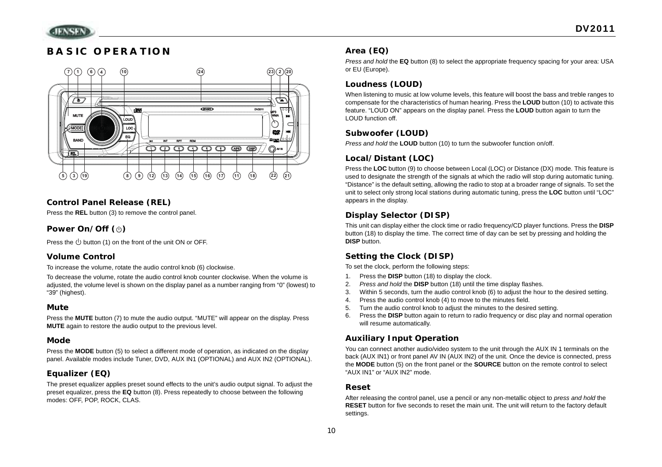

## **BASIC OPERATION**



## **Control Panel Release (REL)**

Press the **REL** button (3) to remove the control panel.

## **Power On/Off ( )**

Press the  $\bigcirc$  button (1) on the front of the unit ON or OFF.

## **Volume Control**

To increase the volume, rotate the audio control knob (6) clockwise.

To decrease the volume, rotate the audio control knob counter clockwise. When the volume is adjusted, the volume level is shown on the display panel as a number ranging from "0" (lowest) to "39" (highest).

### **Mute**

Press the **MUTE** button (7) to mute the audio output. "MUTE" will appear on the display. Press **MUTE** again to restore the audio output to the previous level.

### **Mode**

Press the **MODE** button (5) to select a different mode of operation, as indicated on the display panel. Available modes include Tuner, DVD, AUX IN1 (OPTIONAL) and AUX IN2 (OPTIONAL).

## **Equalizer (EQ)**

The preset equalizer applies preset sound effects to the unit's audio output signal. To adjust the preset equalizer, press the **EQ** button (8). Press repeatedly to choose between the following modes: OFF, POP, ROCK, CLAS.

## **Area (EQ)**

*Press and hold* the **EQ** button (8) to select the appropriate frequency spacing for your area: USA or EU (Europe).

## **Loudness (LOUD)**

When listening to music at low volume levels, this feature will boost the bass and treble ranges to compensate for the characteristics of human hearing. Press the **LOUD** button (10) to activate this feature. "LOUD ON" appears on the display panel. Press the **LOUD** button again to turn the LOUD function off.

## **Subwoofer (LOUD)**

*Press and hold* the **LOUD** button (10) to turn the subwoofer function on/off.

## **Local/Distant (LOC)**

Press the **LOC** button (9) to choose between Local (LOC) or Distance (DX) mode. This feature is used to designate the strength of the signals at which the radio will stop during automatic tuning. "Distance" is the default setting, allowing the radio to stop at a broader range of signals. To set the unit to select only strong local stations during automatic tuning, press the **LOC** button until "LOC" appears in the display.

## **Display Selector (DISP)**

This unit can display either the clock time or radio frequency/CD player functions. Press the **DISP** button (18) to display the time. The correct time of day can be set by pressing and holding the **DISP** button.

## **Setting the Clock (DISP)**

To set the clock, perform the following steps:

- 1. Press the **DISP** button (18) to display the clock.
- 2.*Press and hold* the **DISP** button (18) until the time display flashes.
- 3. Within 5 seconds, turn the audio control knob (6) to adjust the hour to the desired setting.
- 4. Press the audio control knob (4) to move to the minutes field.
- 5. Turn the audio control knob to adjust the minutes to the desired setting.
- 6. Press the **DISP** button again to return to radio frequency or disc play and normal operation will resume automatically.

## **Auxiliary Input Operation**

You can connect another audio/video system to the unit through the AUX IN 1 terminals on the back (AUX IN1) or front panel AV IN (AUX IN2) of the unit. Once the device is connected, press the **MODE** button (5) on the front panel or the **SOURCE** button on the remote control to select "AUX IN1" or "AUX IN2" mode.

#### **Reset**

After releasing the control panel, use a pencil or any non-metallic object to *press and hold* the **RESET** button for five seconds to reset the main unit. The unit will return to the factory default settings.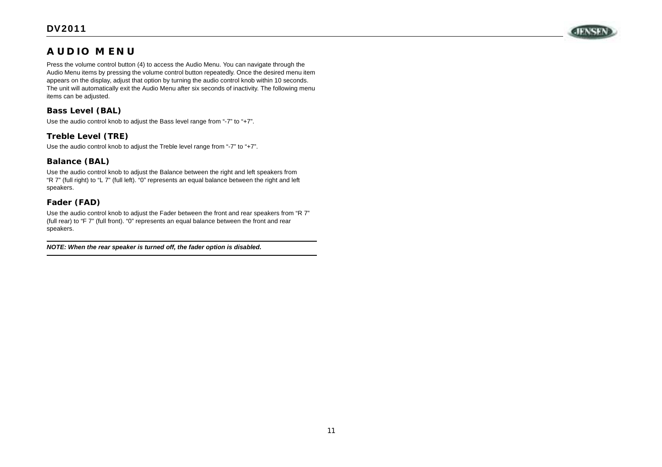

## **AUDIO MENU**

Press the volume control button (4) to access the Audio Menu. You can navigate through the Audio Menu items by pressing the volume control button repeatedly. Once the desired menu item appears on the display, adjust that option by turning the audio control knob within 10 seconds. The unit will automatically exit the Audio Menu after six seconds of inactivity. The following menu items can be adjusted.

## **Bass Level (BAL)**

Use the audio control knob to adjust the Bass level range from "-7" to "+7".

## **Treble Level (TRE)**

Use the audio control knob to adjust the Treble level range from "-7" to "+7".

## **Balance (BAL)**

Use the audio control knob to adjust the Balance between the right and left speakers from "R 7" (full right) to "L 7" (full left). "0" represents an equal balance between the right and left speakers.

## **Fader (FAD)**

Use the audio control knob to adjust the Fader between the front and rear speakers from "R 7" (full rear) to "F 7" (full front). "0" represents an equal balance between the front and rear speakers.

*NOTE: When the rear speaker is turned off, the fader option is disabled.*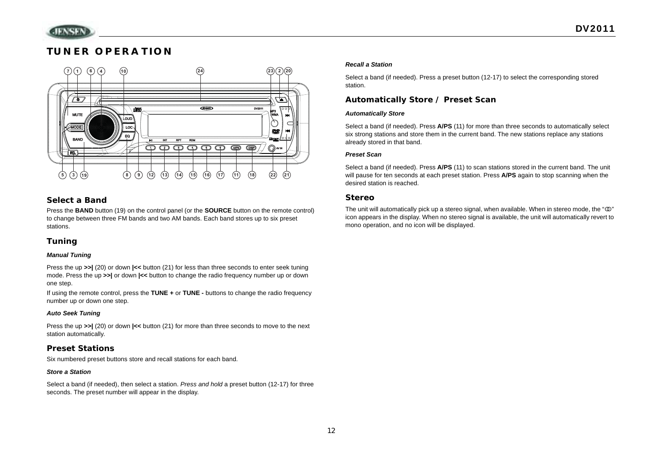## **TUNER OPERATION**



## **Select a Band**

**TANSEA** 

Press the **BAND** button (19) on the control panel (or the **SOURCE** button on the remote control) to change between three FM bands and two AM bands. Each band stores up to six preset stations.

## **Tuning**

#### *Manual Tuning*

Press the up **>>|** (20) or down **|<<** button (21) for less than three seconds to enter seek tuning mode. Press the up **>>|** or down **|<<** button to change the radio frequency number up or down one step.

If using the remote control, press the **TUNE +** or **TUNE -** buttons to change the radio frequency number up or down one step.

#### *Auto Seek Tuning*

Press the up **>>|** (20) or down **|<<** button (21) for more than three seconds to move to the next station automatically.

### **Preset Stations**

Six numbered preset buttons store and recall stations for each band.

#### *Store a Station*

Select a band (if needed), then select a station. *Press and hold* a preset button (12-17) for three seconds. The preset number will appear in the display.

#### *Recall a Station*

Select a band (if needed). Press a preset button (12-17) to select the corresponding stored station.

## **Automatically Store / Preset Scan**

#### *Automatically Store*

Select a band (if needed). Press **A/PS** (11) for more than three seconds to automatically select six strong stations and store them in the current band. The new stations replace any stations already stored in that band.

#### *Preset Scan*

Select a band (if needed). Press **A/PS** (11) to scan stations stored in the current band. The unit will pause for ten seconds at each preset station. Press **A/PS** again to stop scanning when the desired station is reached.

#### **Stereo**

The unit will automatically pick up a stereo signal, when available. When in stereo mode, the " $\mathbb{O}$ " icon appears in the display. When no stereo signal is available, the unit will automatically revert to mono operation, and no icon will be displayed.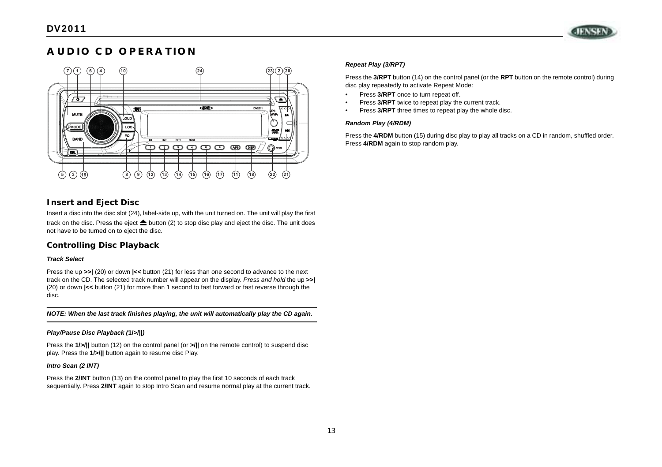

## **AUDIO CD OPERATION**



## **Insert and Eject Disc**

Insert a disc into the disc slot (24), label-side up, with the unit turned on. The unit will play the first track on the disc. Press the eject  $\triangleq$  button (2) to stop disc play and eject the disc. The unit does not have to be turned on to eject the disc.

## **Controlling Disc Playback**

#### *Track Select*

Press the up **>>|** (20) or down **|<<** button (21) for less than one second to advance to the next track on the CD. The selected track number will appear on the display. *Press and hold* the up **>>|** (20) or down **|<<** button (21) for more than 1 second to fast forward or fast reverse through the disc.

#### *NOTE: When the last track finishes playing, the unit will automatically play the CD again.*

#### *Play/Pause Disc Playback (***1/>/||***)*

Press the **1/>/||** button (12) on the control panel (or **>/||** on the remote control) to suspend disc play. Press the **1/>/||** button again to resume disc Play.

#### *Intro Scan (2 INT)*

Press the 2/INT button (13) on the control panel to play the first 10 seconds of each track sequentially. Press **2/INT** again to stop Intro Scan and resume normal play at the current track.

#### *Repeat Play (3/RPT)*

Press the **3/RPT** button (14) on the control panel (or the **RPT** button on the remote control) during disc play repeatedly to activate Repeat Mode:

- •Press **3/RPT** once to turn repeat off.
- •Press **3/RPT** twice to repeat play the current track.
- •Press **3/RPT** three times to repeat play the whole disc.

#### *Random Play (4/RDM)*

Press the 4/RDM button (15) during disc play to play all tracks on a CD in random, shuffled order. Press **4/RDM** again to stop random play.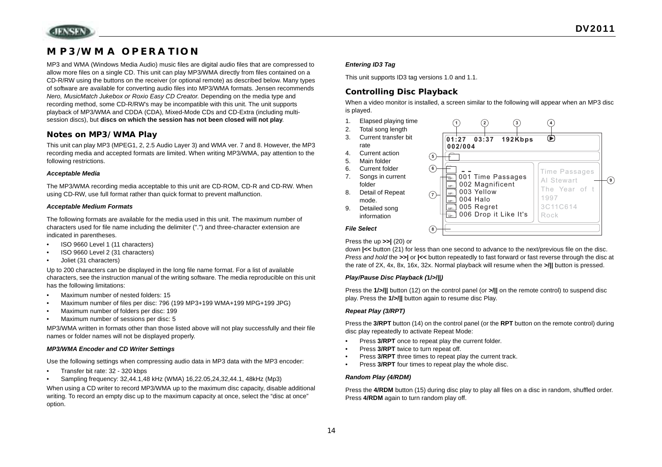

## **MP3/WMA OPERATION**

MP3 and WMA (Windows Media Audio) music files are digital audio files that are compressed to allow more files on a single CD. This unit can play MP3/WMA directly from files contained on a CD-R/RW using the buttons on the receiver (or optional remote) as described below. Many types of software are available for converting audio files into MP3/WMA formats. Jensen recommends *Nero, MusicMatch Jukebox or Roxio Easy CD Creator.* Depending on the media type and recording method, some CD-R/RW's may be incompatible with this unit. The unit supports playback of MP3/WMA and CDDA (CDA), Mixed-Mode CDs and CD-Extra (including multisession discs), but **discs on which the session has not been closed will not play**.

### **Notes on MP3/WMA Play**

This unit can play MP3 (MPEG1, 2, 2.5 Audio Layer 3) and WMA ver. 7 and 8. However, the MP3 recording media and accepted formats are limited. When writing MP3/WMA, pay attention to the following restrictions.

#### *Acceptable Media*

The MP3/WMA recording media acceptable to this unit are CD-ROM, CD-R and CD-RW. When using CD-RW, use full format rather than quick format to prevent malfunction.

#### *Acceptable Medium Formats*

The following formats are available for the media used in this unit. The maximum number of characters used for file name including the delimiter (".") and three-character extension are indicated in parentheses.

- •ISO 9660 Level 1 (11 characters)
- ISO 9660 Level 2 (31 characters)
- •Joliet (31 characters)

Up to 200 characters can be displayed in the long file name format. For a list of available characters, see the instruction manual of the writing software. The media reproducible on this unit has the following limitations:

- •Maximum number of nested folders: 15
- •Maximum number of files per disc: 796 (199 MP3+199 WMA+199 MPG+199 JPG)
- Maximum number of folders per disc: 199
- •Maximum number of sessions per disc: 5

MP3/WMA written in formats other than those listed above will not play successfully and their file names or folder names will not be displayed properly.

#### *MP3/WMA Encoder and CD Writer Settings*

Use the following settings when compressing audio data in MP3 data with the MP3 encoder:

- •Transfer bit rate: 32 - 320 kbps
- •Sampling frequency: 32,44.1,48 kHz (WMA) 16,22.05,24,32,44.1, 48kHz (Mp3)

When using a CD writer to record MP3/WMA up to the maximum disc capacity, disable additional writing. To record an empty disc up to the maximum capacity at once, select the "disc at once" option.

#### *Entering ID3 Tag*

This unit supports ID3 tag versions 1.0 and 1.1.

## **Controlling Disc Playback**

When a video monitor is installed, a screen similar to the following will appear when an MP3 disc is played.

- 1. Elapsed playing time
- 2. Total song length
- 3. Current transfer bit
- rate
- Current action
- 5. Main folder

*File Select*

- 6. Current folder7. Songs in current
- folder
- 8. Detail of Repeat mode.
- 9. Detailed song information



Press the up **>>|** (20) or

down **|<<** button (21) for less than one second to advance to the next/previous file on the disc. *Press and hold the >>| or |<< button repeatedly to fast forward or fast reverse through the disc at* the rate of 2X, 4x, 8x, 16x, 32x. Normal playback will resume when the **>/||** button is pressed.

#### *Play/Pause Disc Playback (***1/>/||***)*

Press the **1/>/||** button (12) on the control panel (or **>/||** on the remote control) to suspend disc play. Press the **1/>/||** button again to resume disc Play.

#### *Repeat Play (3/RPT)*

Press the **3/RPT** button (14) on the control panel (or the **RPT** button on the remote control) during disc play repeatedly to activate Repeat Mode:

- Press **3/RPT** once to repeat play the current folder.
- •Press **3/RPT** twice to turn repeat off.
- Press **3/RPT** three times to repeat play the current track.
- Press **3/RPT** four times to repeat play the whole disc.

#### *Random Play (4/RDM)*

Press the **4/RDM** button (15) during disc play to play all files on a disc in random, shuffled order. Press **4/RDM** again to turn random play off.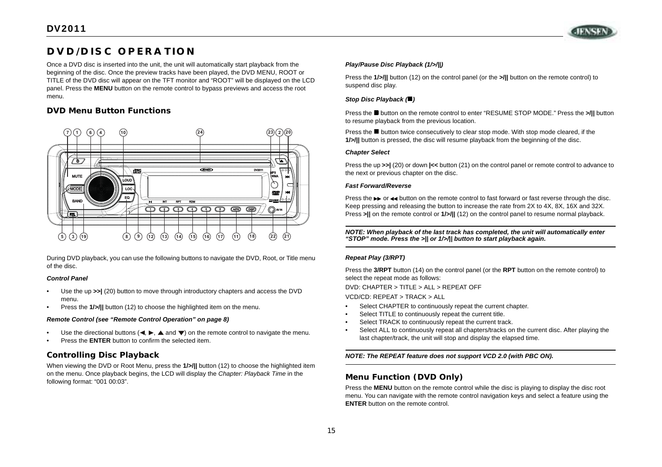

## **DVD/DISC OPERATION**

Once a DVD disc is inserted into the unit, the unit will automatically start playback from the beginning of the disc. Once the preview tracks have been played, the DVD MENU, ROOT or TITLE of the DVD disc will appear on the TFT monitor and "ROOT" will be displayed on the LCD panel. Press the **MENU** button on the remote control to bypass previews and access the root menu.

## **DVD Menu Button Functions**



During DVD playback, you can use the following buttons to navigate the DVD, Root, or Title menu of the disc.

#### *Control Panel*

- • Use the up **>>|** (20) button to move through introductory chapters and access the DVD menu.
- Press the  $1/$ >/|| button (12) to choose the highlighted item on the menu.

#### *Remote Control (see "Remote Control Operation" on page 8)*

- Use the directional buttons  $(\blacktriangleleft, \blacktriangleright, \blacktriangle$  and  $\ntriangleright)$  on the remote control to navigate the menu.
- •Press the **ENTER** button to confirm the selected item.

## **Controlling Disc Playback**

When viewing the DVD or Root Menu, press the **1/>/ll** button (12) to choose the highlighted item on the menu. Once playback begins, the LCD will display the *Chapter: Playback Time* in the following format: "001 00:03".

#### *Play/Pause Disc Playback (1/>/||)*

Press the **1/>/||** button (12) on the control panel (or the **>/||** button on the remote control) to suspend disc play.

#### *Stop Disc Playback ( )*

Press the **button on the remote control to enter "RESUME STOP MODE." Press the**  $\geq$ **/II button** to resume playback from the previous location.

Press the **button twice consecutively to clear stop mode.** With stop mode cleared, if the **1/>/||** button is pressed, the disc will resume playback from the beginning of the disc.

#### *Chapter Select*

Press the up **>>|** (20) or down **|<<** button (21) on the control panel or remote control to advance to the next or previous chapter on the disc.

#### *Fast Forward/Reverse*

Press the  $\blacktriangleright$  or  $\blacktriangleleft\neq$  button on the remote control to fast forward or fast reverse through the disc. Keep pressing and releasing the button to increase the rate from 2X to 4X, 8X, 16X and 32X. Press **>||** on the remote control or **1/>/||** (12) on the control panel to resume normal playback.

*NOTE: When playback of the last track has completed, the unit will automatically enter "STOP" mode. Press the >|| or 1/>/|| button to start playback again.*

#### *Repeat Play (3/RPT)*

Press the **3/RPT** button (14) on the control panel (or the **RPT** button on the remote control) to select the repeat mode as follows:

DVD: CHAPTER > TITLE > ALL > REPEAT OFF

VCD/CD: REPEAT > TRACK > ALL

- •Select CHAPTER to continuously repeat the current chapter.
- Select TITLE to continuously repeat the current title.
- •Select TRACK to continuously repeat the current track.
- Select ALL to continuously repeat all chapters/tracks on the current disc. After playing the last chapter/track, the unit will stop and display the elapsed time.

#### *NOTE: The REPEAT feature does not support VCD 2.0 (with PBC ON).*

## **Menu Function (DVD Only)**

Press the **MENU** button on the remote control while the disc is playing to display the disc root menu. You can navigate with the remote control navigation keys and select a feature using the **ENTER** button on the remote control.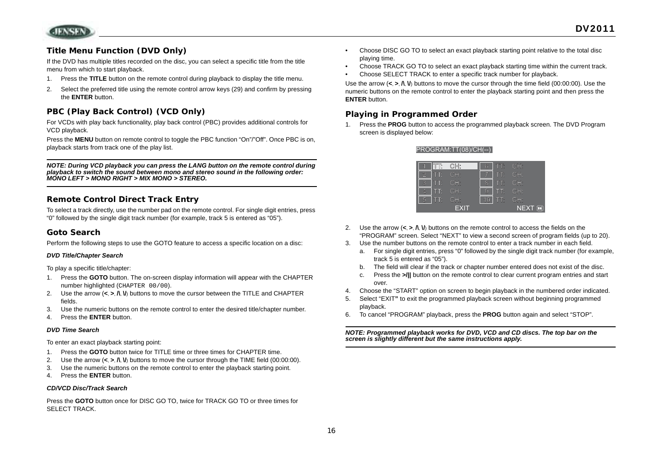

## **Title Menu Function (DVD Only)**

If the DVD has multiple titles recorded on the disc, you can select a specific title from the title menu from which to start playback.

- 1. Press the **TITLE** button on the remote control during playback to display the title menu.
- 2. Select the preferred title using the remote control arrow keys (29) and confirm by pressing the **ENTER** button.

## **PBC (Play Back Control) (VCD Only)**

For VCDs with play back functionality, play back control (PBC) provides additional controls for VCD playback.

Press the **MENU** button on remote control to toggle the PBC function "On"/"Off". Once PBC is on, playback starts from track one of the play list.

*NOTE: During VCD playback you can press the LANG button on the remote control during playback to switch the sound between mono and stereo sound in the following order: MONO LEFT > MONO RIGHT > MIX MONO > STEREO.*

## **Remote Control Direct Track Entry**

To select a track directly, use the number pad on the remote control. For single digit entries, press "0" followed by the single digit track number (for example, track 5 is entered as "05").

## **Goto Search**

Perform the following steps to use the GOTO feature to access a specific location on a disc:

#### *DVD Title/Chapter Search*

To play a specific title/chapter:

- 1. Press the **GOTO** button. The on-screen display information will appear with the CHAPTER number highlighted (CHAPTER 00/00).
- 2. Use the arrow (**<sup>&</sup>lt;**, **>**, **/\**, **\/**) buttons to move the cursor between the TITLE and CHAPTER fields.
- 3. Use the numeric buttons on the remote control to enter the desired title/chapter number.
- 4. Press the **ENTER** button.

#### *DVD Time Search*

To enter an exact playback starting point:

- 1. Press the **GOTO** button twice for TITLE time or three times for CHAPTER time.
- 2. Use the arrow (**<sup>&</sup>lt;**, **>**, **/\**, **\/**) buttons to move the cursor through the TIME field (00:00:00).
- 3. Use the numeric buttons on the remote control to enter the playback starting point.
- 4. Press the **ENTER** button.

#### *CD/VCD Disc/Track Search*

Press the **GOTO** button once for DISC GO TO, twice for TRACK GO TO or three times for SELECT TRACK.

- • Choose DISC GO TO to select an exact playback starting point relative to the total disc playing time.
- •Choose TRACK GO TO to select an exact playback starting time within the current track.
- Choose SELECT TRACK to enter a specific track number for playback.

Use the arrow  $\langle \langle \rangle$ ,  $\rangle$ ,  $\Lambda$ ,  $\mathsf{V}\rangle$  buttons to move the cursor through the time field (00:00:00). Use the numeric buttons on the remote control to enter the playback starting point and then press the **ENTER** button.

## **Playing in Programmed Order**

1. Press the **PROG** button to access the programmed playback screen. The DVD Program screen is displayed below:

| PROGRAM:TT(08)/CH(--) |            |             |     |             |               |
|-----------------------|------------|-------------|-----|-------------|---------------|
|                       | TT:        | CH:         |     | <b>TIME</b> | CH:           |
| 2                     | TT:        | CH:         |     | <b>THE</b>  | CH:           |
| 3                     | TTR:       | CH:         |     | TT:         | CH:           |
| 4                     | TT         | CH:         |     | TT.         | CH:           |
| 룳                     | <b>TTP</b> | CH:         | 10. | I TTP:      | CH:           |
|                       |            | <b>EXIT</b> |     |             | <b>NEXT</b> M |

- 2. Use the arrow  $\langle \langle \rangle$ ,  $\langle \rangle$ ,  $\langle \rangle$  buttons on the remote control to access the fields on the "PROGRAM" screen. Select "NEXT" to view a second screen of program fields (up to 20).
- 3. Use the number buttons on the remote control to enter a track number in each field.
	- a. For single digit entries, press "0" followed by the single digit track number (for example, track 5 is entered as "05").
	- b. The field will clear if the track or chapter number entered does not exist of the disc.
	- c. Press the **>/||** button on the remote control to clear current program entries and start over.
- 4. Choose the "START" option on screen to begin playback in the numbered order indicated.
- 5. Select "EXIT**"** to exit the programmed playback screen without beginning programmed playback.
- 6. To cancel "PROGRAM" playback, press the **PROG** button again and select "STOP".

*NOTE: Programmed playback works for DVD, VCD and CD discs. The top bar on the screen is slightly different but the same instructions apply.*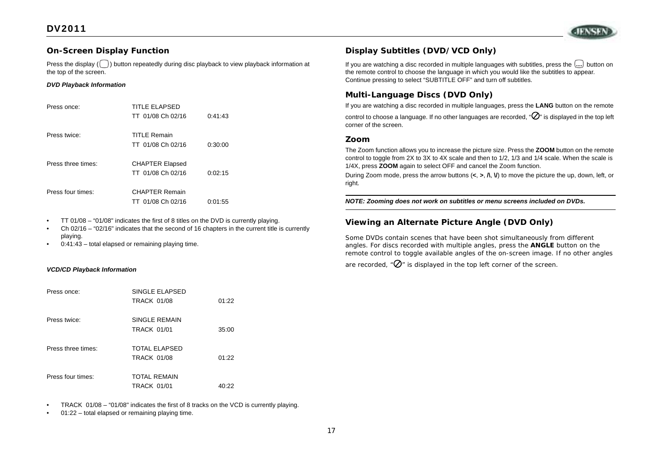

## **On-Screen Display Function**

Press the display  $(\Box)$  button repeatedly during disc playback to view playback information at the top of the screen.

#### *DVD Playback Information*

| Press once:        | <b>TITLE ELAPSED</b><br>TT 01/08 Ch 02/16   | 0:41:43 |
|--------------------|---------------------------------------------|---------|
| Press twice:       | <b>TITLE Remain</b><br>TT 01/08 Ch 02/16    | 0:30:00 |
| Press three times: | <b>CHAPTER Elapsed</b><br>TT 01/08 Ch 02/16 | 0:02:15 |
| Press four times:  | <b>CHAPTER Remain</b><br>TT 01/08 Ch 02/16  | 0:01:55 |

- •TT 01/08 – "01/08" indicates the first of 8 titles on the DVD is currently playing.
- Ch 02/16 "02/16" indicates that the second of 16 chapters in the current title is currently playing.
- •0:41:43 – total elapsed or remaining playing time.

#### *VCD/CD Playback Information*

| Press once:        | SINGLE ELAPSED<br><b>TRACK 01/08</b>       | 01:22 |
|--------------------|--------------------------------------------|-------|
| Press twice:       | SINGLE REMAIN<br><b>TRACK 01/01</b>        | 35:00 |
| Press three times: | <b>TOTAL ELAPSED</b><br><b>TRACK 01/08</b> | 01:22 |
| Press four times:  | <b>TOTAL REMAIN</b><br><b>TRACK 01/01</b>  | 40:22 |

TRACK 01/08 – "01/08" indicates the first of 8 tracks on the VCD is currently playing.

•01:22 – total elapsed or remaining playing time.

## **Display Subtitles (DVD/VCD Only)**

If you are watching a disc recorded in multiple languages with subtitles, press the  $\ldots$  button on the remote control to choose the language in which you would like the subtitles to appear. Continue pressing to select "SUBTITLE OFF" and turn off subtitles.

## **Multi-Language Discs (DVD Only)**

If you are watching a disc recorded in multiple languages, press the **LANG** button on the remote

control to choose a language. If no other languages are recorded, " $\mathcal{Q}$ " is displayed in the top left corner of the screen.

### **Zoom**

The Zoom function allows you to increase the picture size. Press the **ZOOM** button on the remote control to toggle from 2X to 3X to 4X scale and then to 1/2, 1/3 and 1/4 scale. When the scale is 1/4X, press **ZOOM** again to select OFF and cancel the Zoom function.

During Zoom mode, press the arrow buttons (**<sup>&</sup>lt;**, **>**, **/\**, **\/**) to move the picture the up, down, left, or right.

*NOTE: Zooming does not work on subtitles or menu screens included on DVDs.*

## **Viewing an Alternate Picture Angle (DVD Only)**

Some DVDs contain scenes that have been shot simultaneously from different angles. For discs recorded with multiple angles, press the **ANGLE** button on the remote control to toggle available angles of the on-screen image. If no other angles

are recorded, " $Q$ " is displayed in the top left corner of the screen.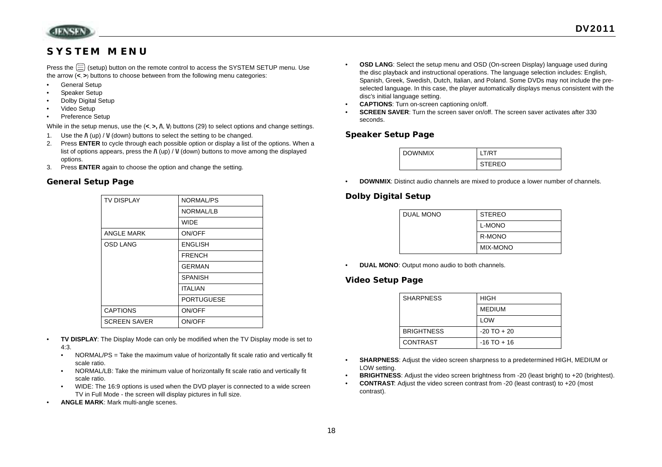

## **SYSTEM MENU**

Press the  $\equiv$  (setup) button on the remote control to access the SYSTEM SETUP menu. Use the arrow (**<sup>&</sup>lt;**, **<sup>&</sup>gt;**) buttons to choose between from the following menu categories:

- •General Setup
- •Speaker Setup
- Dolby Digital Setup
- •Video Setup

•

Preference Setup

While in the setup menus, use the  $\left(\langle \cdot, \cdot \rangle, \Lambda, V\right)$  buttons (29) to select options and change settings.

- 1. Use the  $\Lambda$  (up) /  $\vee$  (down) buttons to select the setting to be changed.
- 2. Press **ENTER** to cycle through each possible option or display a list of the options. When a list of options appears, press the  $\Lambda$  (up) /  $\vee$  (down) buttons to move among the displayed options.
- 3. Press **ENTER** again to choose the option and change the setting.

## **General Setup Page**

| <b>TV DISPLAY</b>   | NORMAL/PS         |
|---------------------|-------------------|
|                     | NORMAL/LB         |
|                     | WIDE              |
| <b>ANGLE MARK</b>   | ON/OFF            |
| <b>OSD LANG</b>     | <b>ENGLISH</b>    |
|                     | <b>FRENCH</b>     |
|                     | <b>GERMAN</b>     |
|                     | <b>SPANISH</b>    |
|                     | <b>ITALIAN</b>    |
|                     | <b>PORTUGUESE</b> |
| <b>CAPTIONS</b>     | ON/OFF            |
| <b>SCREEN SAVER</b> | ON/OFF            |
|                     |                   |

- **TV DISPLAY**: The Display Mode can only be modified when the TV Display mode is set to 4:3.
	- NORMAL/PS = Take the maximum value of horizontally fit scale ratio and vertically fit scale ratio.
	- NORMAL/LB: Take the minimum value of horizontally fit scale ratio and vertically fit scale ratio.
	- • WIDE: The 16:9 options is used when the DVD player is connected to a wide screen TV in Full Mode - the screen will display pictures in full size.
- •**ANGLE MARK**: Mark multi-angle scenes.
- •**OSD LANG**: Select the setup menu and OSD (On-screen Display) language used during the disc playback and instructional operations. The language selection includes: English, Spanish, Greek, Swedish, Dutch, Italian, and Poland. Some DVDs may not include the preselected language. In this case, the player automatically displays menus consistent with the disc's initial language setting.
- **CAPTIONS**: Turn on-screen captioning on/off.
- • **SCREEN SAVER**: Turn the screen saver on/off. The screen saver activates after 330 seconds.

## **Speaker Setup Page**

| <b>DOWNMIX</b> | .T/RT         |
|----------------|---------------|
|                | <b>STEREO</b> |

•**DOWNMIX**: Distinct audio channels are mixed to produce a lower number of channels.

## **Dolby Digital Setup**

| DUAL MONO | <b>STEREO</b>   |
|-----------|-----------------|
|           | L-MONO          |
|           | R-MONO          |
|           | <b>MIX-MONO</b> |

**DUAL MONO**: Output mono audio to both channels.

## **Video Setup Page**

| <b>SHARPNESS</b>  | <b>HIGH</b>    |
|-------------------|----------------|
|                   | <b>MEDIUM</b>  |
|                   | LOW            |
| <b>BRIGHTNESS</b> | $-20$ TO $+20$ |
| <b>CONTRAST</b>   | $-16$ TO + 16  |

- • **SHARPNESS**: Adjust the video screen sharpness to a predetermined HIGH, MEDIUM or LOW setting.
- •**BRIGHTNESS**: Adjust the video screen brightness from -20 (least bright) to +20 (brightest).
- **CONTRAST**: Adjust the video screen contrast from -20 (least contrast) to +20 (most contrast).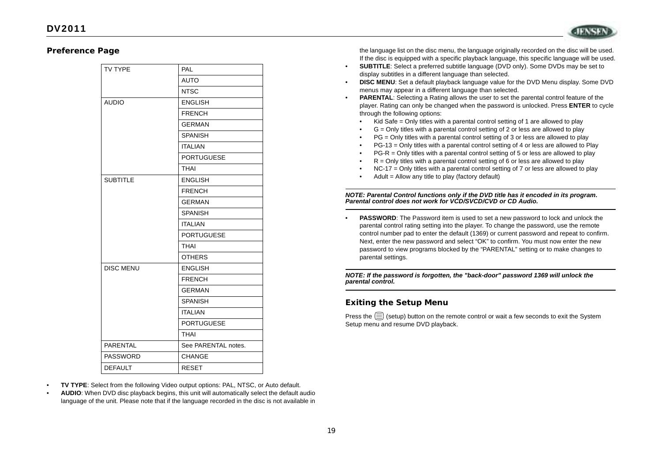

## **Preference Page**

| TV TYPE          | PAL                 |  |
|------------------|---------------------|--|
|                  | <b>AUTO</b>         |  |
|                  | <b>NTSC</b>         |  |
| <b>AUDIO</b>     | <b>ENGLISH</b>      |  |
|                  | <b>FRENCH</b>       |  |
|                  | <b>GERMAN</b>       |  |
|                  | SPANISH             |  |
|                  | <b>ITALIAN</b>      |  |
|                  | <b>PORTUGUESE</b>   |  |
|                  | <b>THAI</b>         |  |
| <b>SUBTITLE</b>  | <b>ENGLISH</b>      |  |
|                  | <b>FRENCH</b>       |  |
|                  | <b>GERMAN</b>       |  |
|                  | <b>SPANISH</b>      |  |
|                  | <b>ITALIAN</b>      |  |
|                  | <b>PORTUGUESE</b>   |  |
|                  | <b>THAI</b>         |  |
|                  | <b>OTHERS</b>       |  |
| <b>DISC MENU</b> | <b>ENGLISH</b>      |  |
|                  | <b>FRENCH</b>       |  |
|                  | <b>GERMAN</b>       |  |
|                  | <b>SPANISH</b>      |  |
|                  | <b>ITALIAN</b>      |  |
|                  | <b>PORTUGUESE</b>   |  |
|                  | <b>THAI</b>         |  |
| PARENTAL         | See PARENTAL notes. |  |
| PASSWORD         | CHANGE              |  |
| <b>DEFAULT</b>   | <b>RESET</b>        |  |

- **TV TYPE**: Select from the following Video output options: PAL, NTSC, or Auto default.
- • **AUDIO**: When DVD disc playback begins, this unit will automatically select the default audio language of the unit. Please note that if the language recorded in the disc is not available in

the language list on the disc menu, the language originally recorded on the disc will be used. If the disc is equipped with a specific playback language, this specific language will be used.

- • **SUBTITLE**: Select a preferred subtitle language (DVD only). Some DVDs may be set to display subtitles in a different language than selected.
- • **DISC MENU**: Set a default playback language value for the DVD Menu display. Some DVD menus may appear in a different language than selected.
- **PARENTAL**: Selecting a Rating allows the user to set the parental control feature of the player. Rating can only be changed when the password is unlocked. Press **ENTER** to cycle through the following options:
	- Kid Safe = Only titles with a parental control setting of 1 are allowed to play
	- G = Only titles with a parental control setting of 2 or less are allowed to play
	- •PG = Only titles with a parental control setting of 3 or less are allowed to play
	- PG-13 = Only titles with a parental control setting of 4 or less are allowed to Play
	- •PG-R = Only titles with a parental control setting of 5 or less are allowed to play
	- $R =$  Only titles with a parental control setting of 6 or less are allowed to play
	- •NC-17 = Only titles with a parental control setting of 7 or less are allowed to play
	- Adult = Allow any title to play (factory default)

*NOTE: Parental Control functions only if the DVD title has it encoded in its program. Parental control does not work for VCD/SVCD/CVD or CD Audio.*

 **PASSWORD**: The Password item is used to set a new password to lock and unlock the parental control rating setting into the player. To change the password, use the remote control number pad to enter the default (1369) or current password and repeat to confirm. Next, enter the new password and select "OK" to confirm. You must now enter the new password to view programs blocked by the "PARENTAL" setting or to make changes to parental settings.

*NOTE: If the password is forgotten, the "back-door" password 1369 will unlock the parental control.*

### **Exiting the Setup Menu**

Press the  $\equiv$  (setup) button on the remote control or wait a few seconds to exit the System Setup menu and resume DVD playback.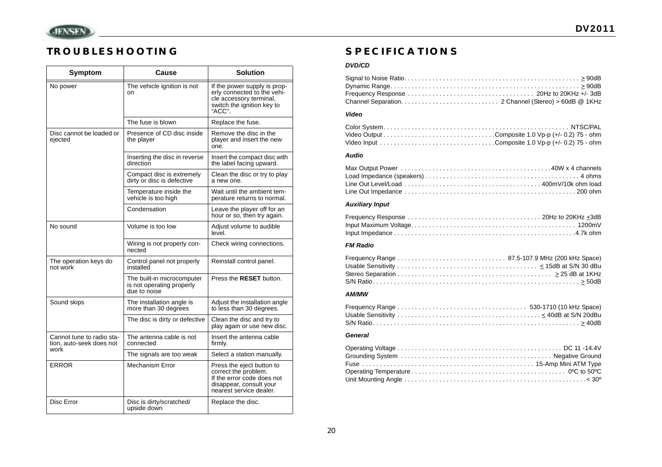## **TROUBLESHOOTING SPECIFICATIONS**

| Symptom                                               | Cause                                                                   | Solution                                                                                                                              |
|-------------------------------------------------------|-------------------------------------------------------------------------|---------------------------------------------------------------------------------------------------------------------------------------|
| No power                                              | The vehicle ignition is not<br>on                                       | If the power supply is prop-<br>erly connected to the vehi-<br>cle accessory terminal,<br>switch the ignition key to<br>"ACC".        |
|                                                       | The fuse is blown                                                       | Replace the fuse.                                                                                                                     |
| Disc cannot be loaded or<br>ejected                   | Presence of CD disc inside<br>the player                                | Remove the disc in the<br>player and insert the new<br>one.                                                                           |
|                                                       | Inserting the disc in reverse<br>direction                              | Insert the compact disc with<br>the label facing upward.                                                                              |
|                                                       | Compact disc is extremely<br>dirty or disc is defective                 | Clean the disc or try to play<br>a new one.                                                                                           |
|                                                       | Temperature inside the<br>vehicle is too high                           | Wait until the ambient tem-<br>perature returns to normal.                                                                            |
|                                                       | Condensation                                                            | Leave the player off for an<br>hour or so, then try again.                                                                            |
| No sound                                              | Volume is too low                                                       | Adiust volume to audible<br>level.                                                                                                    |
|                                                       | Wiring is not properly con-<br>nected                                   | Check wiring connections.                                                                                                             |
| The operation keys do<br>not work                     | Control panel not properly<br>installed                                 | Reinstall control panel.                                                                                                              |
|                                                       | The built-in microcomputer<br>is not operating properly<br>due to noise | Press the RESET button.                                                                                                               |
| Sound skips                                           | The installation angle is<br>more than 30 degrees                       | Adjust the installation angle<br>to less than 30 degrees.                                                                             |
|                                                       | The disc is dirty or defective                                          | Clean the disc and try to<br>play again or use new disc.                                                                              |
| Cannot tune to radio sta-<br>tion, auto-seek does not | The antenna cable is not<br>connected                                   | Insert the antenna cable<br>firmly.                                                                                                   |
| work                                                  | The signals are too weak                                                | Select a station manually.                                                                                                            |
| <b>ERROR</b>                                          | Mechanism Error                                                         | Press the eject button to<br>correct the problem.<br>If the error code does not<br>disappear, consult your<br>nearest service dealer. |
| Disc Error                                            | Disc is dirty/scratched/<br>upside down                                 | Replace the disc.                                                                                                                     |

## *DVD/CD*

#### *Video*

#### *Audio*

## *Auxiliary Input*

## *FM Radio*

## *AM/MW*

#### *General*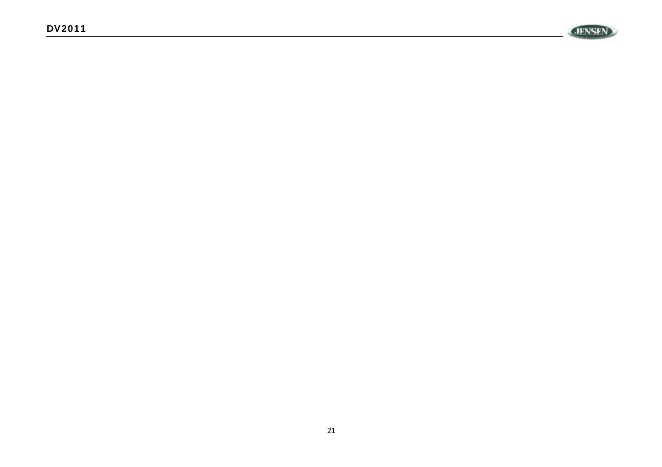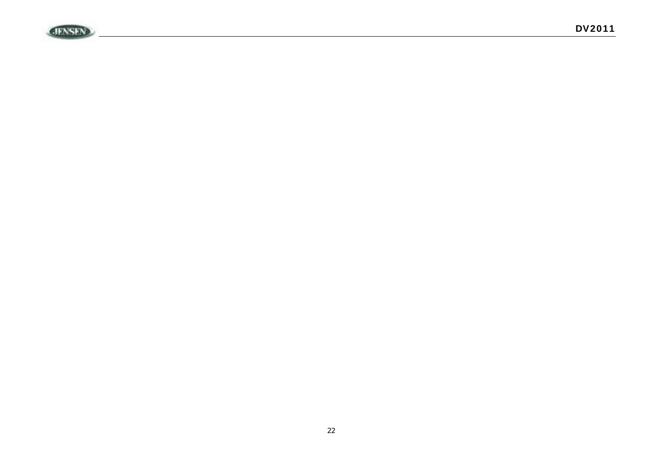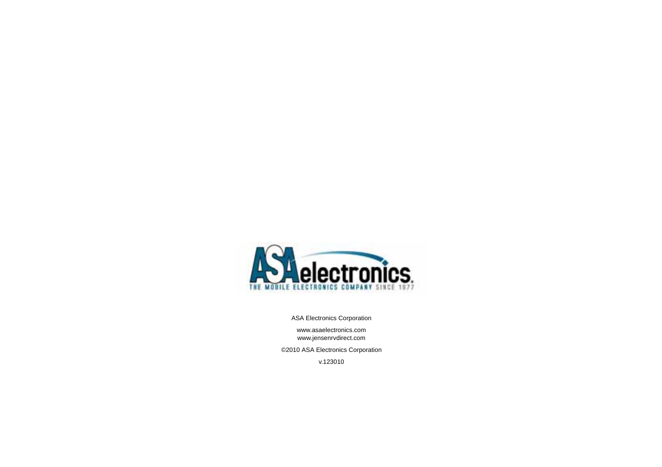

ASA Electronics Corporation

www.asaelectronics.comwww.jensenrvdirect.com

©2010 ASA Electronics Corporation

v.123010